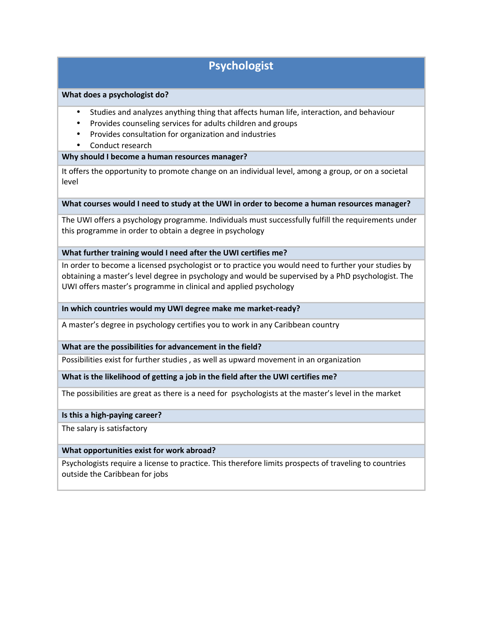# **Psychologist**

### **What does a psychologist do?**

- Studies and analyzes anything thing that affects human life, interaction, and behaviour
- Provides counseling services for adults children and groups
- Provides consultation for organization and industries
- Conduct research

## **Why should I become a human resources manager?**

It offers the opportunity to promote change on an individual level, among a group, or on a societal level

### **What courses would I need to study at the UWI in order to become a human resources manager?**

The UWI offers a psychology programme. Individuals must successfully fulfill the requirements under this programme in order to obtain a degree in psychology

### **What further training would I need after the UWI certifies me?**

In order to become a licensed psychologist or to practice you would need to further your studies by obtaining a master's level degree in psychology and would be supervised by a PhD psychologist. The UWI offers master's programme in clinical and applied psychology

### **In which countries would my UWI degree make me market-ready?**

A master's degree in psychology certifies you to work in any Caribbean country

### **What are the possibilities for advancement in the field?**

Possibilities exist for further studies , as well as upward movement in an organization

### **What is the likelihood of getting a job in the field after the UWI certifies me?**

The possibilities are great as there is a need for psychologists at the master's level in the market

### **Is this a high-paying career?**

The salary is satisfactory

### **What opportunities exist for work abroad?**

Psychologists require a license to practice. This therefore limits prospects of traveling to countries outside the Caribbean for jobs